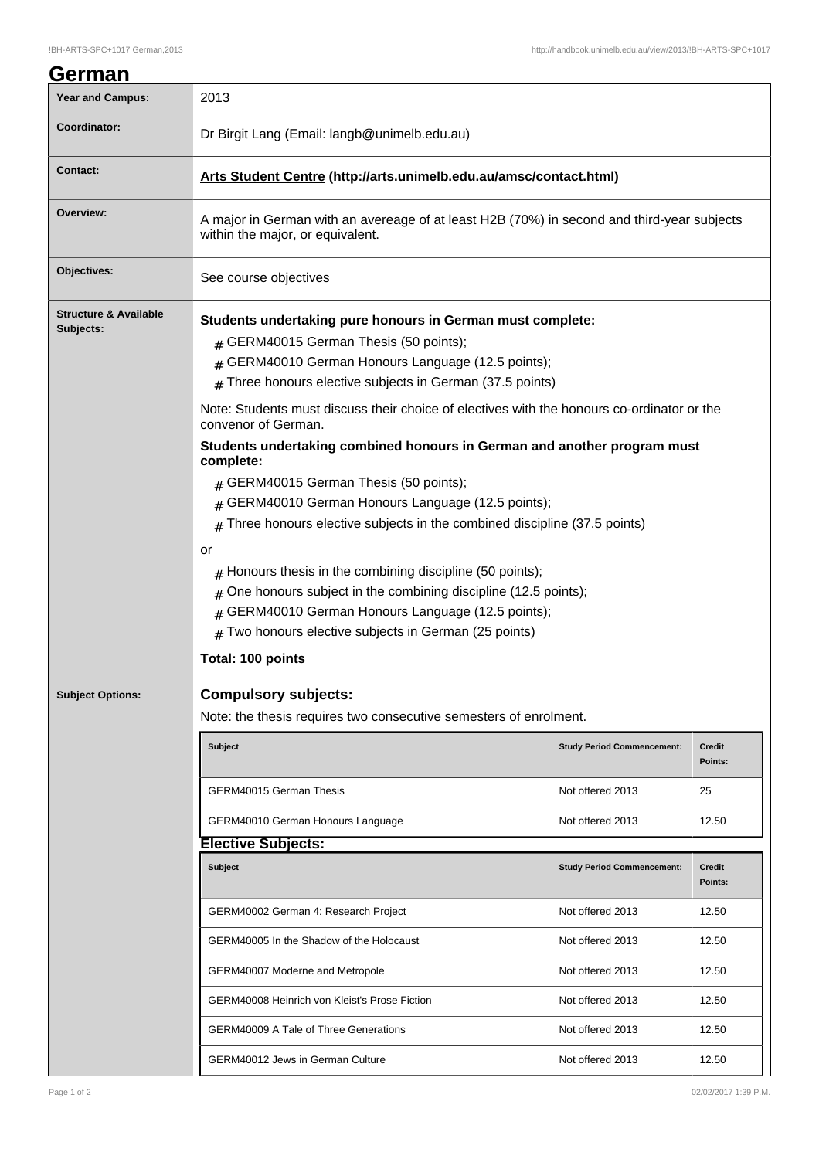## **German** Year and Campus: 2013 **Coordinator:** Dr Birgit Lang (Email: langb@unimelb.edu.au) **Contact: Arts Student Centre (http://arts.unimelb.edu.au/amsc/contact.html) Overview:** A major in German with an avereage of at least H2B (70%) in second and third-year subjects within the major, or equivalent. **Objectives:** See course objectives **Structure & Available Subjects: Students undertaking pure honours in German must complete:**  $#$  GERM40015 German Thesis (50 points); # GERM40010 German Honours Language (12.5 points);  $#$  Three honours elective subjects in German (37.5 points) Note: Students must discuss their choice of electives with the honours co-ordinator or the convenor of German. **Students undertaking combined honours in German and another program must complete:**  $#$  GERM40015 German Thesis (50 points); # GERM40010 German Honours Language (12.5 points);  $#$  Three honours elective subjects in the combined discipline (37.5 points) or  $#$  Honours thesis in the combining discipline (50 points);  $#$  One honours subject in the combining discipline (12.5 points); # GERM40010 German Honours Language (12.5 points);  $#$  Two honours elective subjects in German (25 points) **Total: 100 points Subject Options: Compulsory subjects:** Note: the thesis requires two consecutive semesters of enrolment. **Subject Study Period Commencement: Credit Points:** GERM40015 German Thesis Not offered 2013 25 GERM40010 German Honours Language Not offered 2013 12.50 **Elective Subjects: Subject Study Period Commencement: Credit Points:** GERM40002 German 4: Research Project Not offered 2013 12.50 GERM40005 In the Shadow of the Holocaust Not offered 2013 12.50 GERM40007 Moderne and Metropole Not offered 2013 12.50 GERM40008 Heinrich von Kleist's Prose Fiction Not offered 2013 12.50 GERM40009 A Tale of Three Generations Not offered 2013 12.50

GERM40012 Jews in German Culture Not offered 2013 12.50